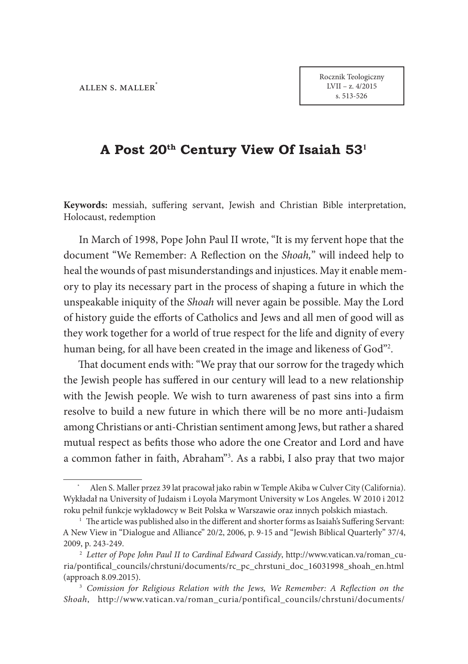# **A Post 20th Century View Of Isaiah 53<sup>1</sup>**

Keywords: messiah, suffering servant, Jewish and Christian Bible interpretation, Holocaust, redemption

In March of 1998, Pope John Paul II wrote, "It is my fervent hope that the document "We Remember: A Reflection on the *Shoah*," will indeed help to heal the wounds of past misunderstandings and injustices. May it enable memory to play its necessary part in the process of shaping a future in which the unspeakable iniquity of the *Shoah* will never again be possible. May the Lord of history guide the efforts of Catholics and Jews and all men of good will as they work together for a world of true respect for the life and dignity of every human being, for all have been created in the image and likeness of God"2 .

That document ends with: "We pray that our sorrow for the tragedy which the Jewish people has suffered in our century will lead to a new relationship with the Jewish people. We wish to turn awareness of past sins into a firm resolve to build a new future in which there will be no more anti-Judaism among Christians or anti-Christian sentiment among Jews, but rather a shared mutual respect as befits those who adore the one Creator and Lord and have a common father in faith, Abraham"3 . As a rabbi, I also pray that two major

<sup>\*</sup> Alen S. Maller przez 39 lat pracował jako rabin w Temple Akiba w Culver City (California). Wykładał na University of Judaism i Loyola Marymont University w Los Angeles. W 2010 i 2012 roku pełnił funkcje wykładowcy w Beit Polska w Warszawie oraz innych polskich miastach.

 $1$  The article was published also in the different and shorter forms as Isaiah's Suffering Servant: A New View in "Dialogue and Alliance" 20/2, 2006, p. 9-15 and "Jewish Biblical Quarterly" 37/4, 2009, p. 243-249.

<sup>2</sup> *Letter of Pope John Paul II to Cardinal Edward Cassidy*, http://www.vatican.va/roman\_curia/pontifical\_councils/chrstuni/documents/rc\_pc\_chrstuni\_doc\_16031998\_shoah\_en.html (approach 8.09.2015).

<sup>&</sup>lt;sup>3</sup> Comission for Religious Relation with the Jews, We Remember: A Reflection on the *Shoah*, http://www.vatican.va/roman\_curia/pontifical\_councils/chrstuni/documents/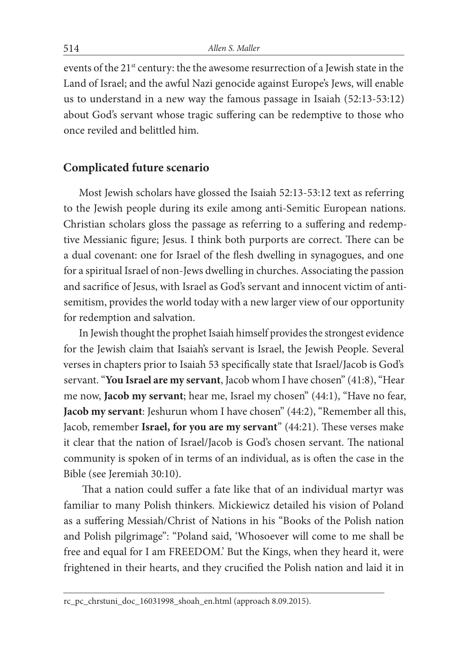events of the 21<sup>st</sup> century: the the awesome resurrection of a Jewish state in the Land of Israel; and the awful Nazi genocide against Europe's Jews, will enable us to understand in a new way the famous passage in Isaiah (52:13-53:12) about God's servant whose tragic suffering can be redemptive to those who once reviled and belittled him.

#### **Complicated future scenario**

Most Jewish scholars have glossed the Isaiah 52:13-53:12 text as referring to the Jewish people during its exile among anti-Semitic European nations. Christian scholars gloss the passage as referring to a suffering and redemptive Messianic figure; Jesus. I think both purports are correct. There can be a dual covenant: one for Israel of the flesh dwelling in synagogues, and one for a spiritual Israel of non-Jews dwelling in churches. Associating the passion and sacrifice of Jesus, with Israel as God's servant and innocent victim of antisemitism, provides the world today with a new larger view of our opportunity for redemption and salvation.

In Jewish thought the prophet Isaiah himself provides the strongest evidence for the Jewish claim that Isaiah's servant is Israel, the Jewish People. Several verses in chapters prior to Isaiah 53 specifically state that Israel/Jacob is God's servant. "**You Israel are my servant**, Jacob whom I have chosen" (41:8), "Hear me now, **Jacob my servant**; hear me, Israel my chosen" (44:1), "Have no fear, **Jacob my servant**: Jeshurun whom I have chosen" (44:2), "Remember all this, Jacob, remember **Israel, for you are my servant**" (44:21). These verses make it clear that the nation of Israel/Jacob is God's chosen servant. The national community is spoken of in terms of an individual, as is often the case in the Bible (see Jeremiah 30:10).

That a nation could suffer a fate like that of an individual martyr was familiar to many Polish thinkers. Mickiewicz detailed his vision of Poland as a suffering Messiah/Christ of Nations in his "Books of the Polish nation and Polish pilgrimage": "Poland said, 'Whosoever will come to me shall be free and equal for I am FREEDOM.' But the Kings, when they heard it, were frightened in their hearts, and they crucified the Polish nation and laid it in

rc\_pc\_chrstuni\_doc\_16031998\_shoah\_en.html (approach 8.09.2015).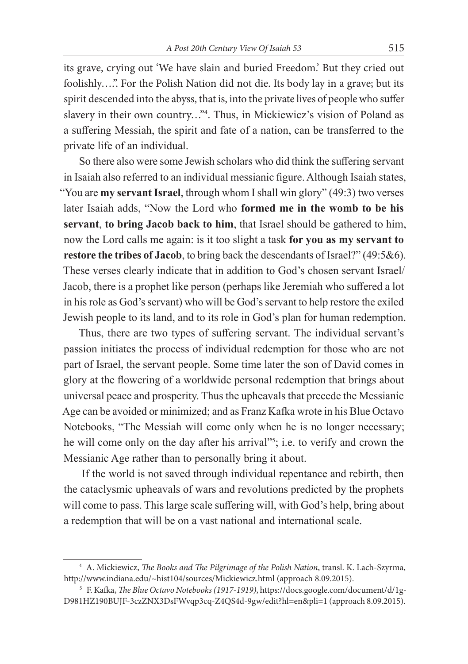its grave, crying out 'We have slain and buried Freedom.' But they cried out foolishly….". For the Polish Nation did not die. Its body lay in a grave; but its spirit descended into the abyss, that is, into the private lives of people who suffer slavery in their own country..."<sup>4</sup>. Thus, in Mickiewicz's vision of Poland as a suffering Messiah, the spirit and fate of a nation, can be transferred to the private life of an individual.

So there also were some Jewish scholars who did think the suffering servant in Isaiah also referred to an individual messianic figure. Although Isaiah states, "You are **my servant Israel**, through whom I shall win glory" (49:3) two verses later Isaiah adds, "Now the Lord who **formed me in the womb to be his servant**, **to bring Jacob back to him**, that Israel should be gathered to him, now the Lord calls me again: is it too slight a task **for you as my servant to restore the tribes of Jacob**, to bring back the descendants of Israel?" (49:5&6). These verses clearly indicate that in addition to God's chosen servant Israel/ Jacob, there is a prophet like person (perhaps like Jeremiah who suffered a lot in his role as God's servant) who will be God's servant to help restore the exiled Jewish people to its land, and to its role in God's plan for human redemption.

Thus, there are two types of suffering servant. The individual servant's passion initiates the process of individual redemption for those who are not part of Israel, the servant people. Some time later the son of David comes in glory at the flowering of a worldwide personal redemption that brings about universal peace and prosperity. Thus the upheavals that precede the Messianic Age can be avoided or minimized; and as Franz Kafka wrote in his Blue Octavo Notebooks, "The Messiah will come only when he is no longer necessary; he will come only on the day after his arrival"<sup>5</sup>; i.e. to verify and crown the Messianic Age rather than to personally bring it about.

 If the world is not saved through individual repentance and rebirth, then the cataclysmic upheavals of wars and revolutions predicted by the prophets will come to pass. This large scale suffering will, with God's help, bring about a redemption that will be on a vast national and international scale.

<sup>&</sup>lt;sup>4</sup> A. Mickiewicz, *The Books and The Pilgrimage of the Polish Nation*, transl. K. Lach-Szyrma, http://www.indiana.edu/~hist104/sources/Mickiewicz.html (approach 8.09.2015).

<sup>&</sup>lt;sup>5</sup> F. Kafka, *The Blue Octavo Notebooks (1917-1919)*, https://docs.google.com/document/d/1g-D981HZ190BUJF-3czZNX3DsFWvqp3cq-Z4QS4d-9gw/edit?hl=en&pli=1 (approach 8.09.2015).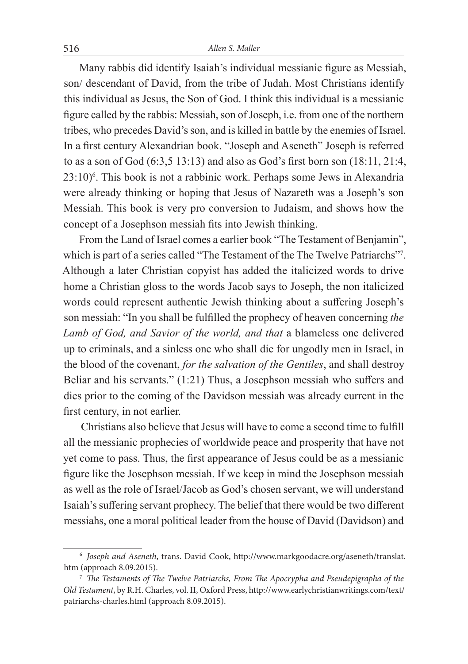Many rabbis did identify Isaiah's individual messianic figure as Messiah, son/ descendant of David, from the tribe of Judah. Most Christians identify this individual as Jesus, the Son of God. I think this individual is a messianic figure called by the rabbis: Messiah, son of Joseph, i.e. from one of the northern tribes, who precedes David's son, and is killed in battle by the enemies of Israel. In a first century Alexandrian book. "Joseph and Aseneth" Joseph is referred to as a son of God  $(6:3,5 13:13)$  and also as God's first born son  $(18:11, 21:4, 11)$ 23:10)6 . This book is not a rabbinic work. Perhaps some Jews in Alexandria were already thinking or hoping that Jesus of Nazareth was a Joseph's son Messiah. This book is very pro conversion to Judaism, and shows how the concept of a Josephson messiah fits into Jewish thinking.

From the Land of Israel comes a earlier book "The Testament of Benjamin", which is part of a series called "The Testament of the The Twelve Patriarchs"7 . Although a later Christian copyist has added the italicized words to drive home a Christian gloss to the words Jacob says to Joseph, the non italicized words could represent authentic Jewish thinking about a suffering Joseph's son messiah: "In you shall be fulfilled the prophecy of heaven concerning *the Lamb of God, and Savior of the world, and that* a blameless one delivered up to criminals, and a sinless one who shall die for ungodly men in Israel, in the blood of the covenant, *for the salvation of the Gentiles*, and shall destroy Beliar and his servants."  $(1:21)$  Thus, a Josephson messiah who suffers and dies prior to the coming of the Davidson messiah was already current in the first century, in not earlier.

Christians also believe that Jesus will have to come a second time to fulfill all the messianic prophecies of worldwide peace and prosperity that have not yet come to pass. Thus, the first appearance of Jesus could be as a messianic figure like the Josephson messiah. If we keep in mind the Josephson messiah as well as the role of Israel/Jacob as God's chosen servant, we will understand Isaiah's suffering servant prophecy. The belief that there would be two different messiahs, one a moral political leader from the house of David (Davidson) and

<sup>6</sup> *Joseph and Aseneth*, trans. David Cook, http://www.markgoodacre.org/aseneth/translat. htm (approach 8.09.2015).

<sup>&</sup>lt;sup>7</sup> The Testaments of The Twelve Patriarchs, From The Apocrypha and Pseudepigrapha of the *Old Testament*, by R.H. Charles, vol. II, Oxford Press, http://www.earlychristianwritings.com/text/ patriarchs-charles.html (approach 8.09.2015).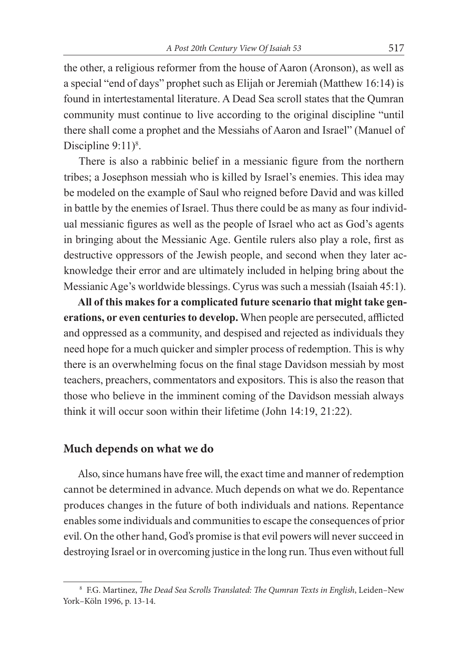the other, a religious reformer from the house of Aaron (Aronson), as well as a special "end of days" prophet such as Elijah or Jeremiah (Matthew 16:14) is found in intertestamental literature. A Dead Sea scroll states that the Qumran community must continue to live according to the original discipline "until there shall come a prophet and the Messiahs of Aaron and Israel" (Manuel of Discipline  $9:11$ <sup>8</sup>.

There is also a rabbinic belief in a messianic figure from the northern tribes; a Josephson messiah who is killed by Israel's enemies. This idea may be modeled on the example of Saul who reigned before David and was killed in battle by the enemies of Israel. Thus there could be as many as four individual messianic figures as well as the people of Israel who act as God's agents in bringing about the Messianic Age. Gentile rulers also play a role, first as destructive oppressors of the Jewish people, and second when they later acknowledge their error and are ultimately included in helping bring about the Messianic Age's worldwide blessings. Cyrus was such a messiah (Isaiah 45:1).

**All of this makes for a complicated future scenario that might take gen**erations, or even centuries to develop. When people are persecuted, afflicted and oppressed as a community, and despised and rejected as individuals they need hope for a much quicker and simpler process of redemption. This is why there is an overwhelming focus on the final stage Davidson messiah by most teachers, preachers, commentators and expositors. This is also the reason that those who believe in the imminent coming of the Davidson messiah always think it will occur soon within their lifetime (John 14:19, 21:22).

### **Much depends on what we do**

Also, since humans have free will, the exact time and manner of redemption cannot be determined in advance. Much depends on what we do. Repentance produces changes in the future of both individuals and nations. Repentance enables some individuals and communities to escape the consequences of prior evil. On the other hand, God's promise is that evil powers will never succeed in destroying Israel or in overcoming justice in the long run. Thus even without full

<sup>&</sup>lt;sup>8</sup> F.G. Martinez, *The Dead Sea Scrolls Translated: The Qumran Texts in English*, Leiden-New York–Köln 1996, p. 13-14.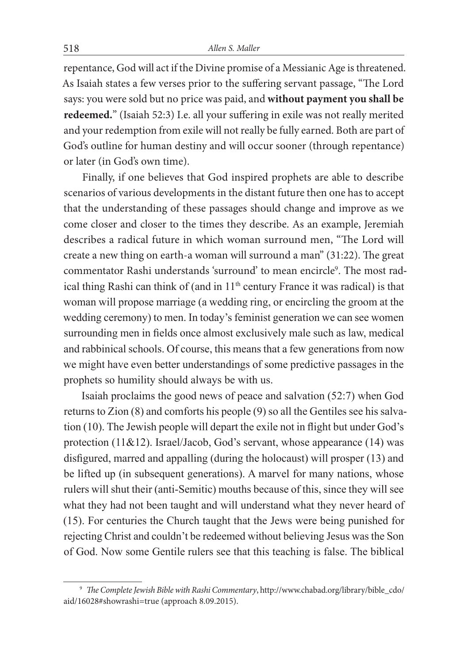repentance, God will act if the Divine promise of a Messianic Age is threatened. As Isaiah states a few verses prior to the suffering servant passage, "The Lord says: you were sold but no price was paid, and **without payment you shall be**  redeemed." (Isaiah 52:3) I.e. all your suffering in exile was not really merited and your redemption from exile will not really be fully earned. Both are part of God's outline for human destiny and will occur sooner (through repentance) or later (in God's own time).

 Finally, if one believes that God inspired prophets are able to describe scenarios of various developments in the distant future then one has to accept that the understanding of these passages should change and improve as we come closer and closer to the times they describe. As an example, Jeremiah describes a radical future in which woman surround men, "The Lord will create a new thing on earth-a woman will surround a man"  $(31:22)$ . The great commentator Rashi understands 'surround' to mean encircle<sup>9</sup>. The most radical thing Rashi can think of (and in  $11<sup>th</sup>$  century France it was radical) is that woman will propose marriage (a wedding ring, or encircling the groom at the wedding ceremony) to men. In today's feminist generation we can see women surrounding men in fields once almost exclusively male such as law, medical and rabbinical schools. Of course, this means that a few generations from now we might have even better understandings of some predictive passages in the prophets so humility should always be with us.

 Isaiah proclaims the good news of peace and salvation (52:7) when God returns to Zion (8) and comforts his people (9) so all the Gentiles see his salvation (10). The Jewish people will depart the exile not in flight but under God's protection (11&12). Israel/Jacob, God's servant, whose appearance (14) was disfigured, marred and appalling (during the holocaust) will prosper (13) and be lifted up (in subsequent generations). A marvel for many nations, whose rulers will shut their (anti-Semitic) mouths because of this, since they will see what they had not been taught and will understand what they never heard of (15). For centuries the Church taught that the Jews were being punished for rejecting Christ and couldn't be redeemed without believing Jesus was the Son of God. Now some Gentile rulers see that this teaching is false. The biblical

<sup>&</sup>lt;sup>9</sup> The Complete Jewish Bible with Rashi Commentary, http://www.chabad.org/library/bible\_cdo/ aid/16028#showrashi=true (approach 8.09.2015).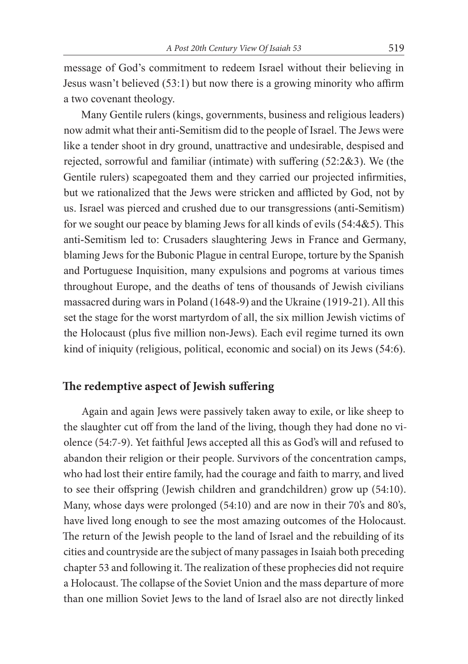message of God's commitment to redeem Israel without their believing in Jesus wasn't believed  $(53:1)$  but now there is a growing minority who affirm a two covenant theology.

 Many Gentile rulers (kings, governments, business and religious leaders) now admit what their anti-Semitism did to the people of Israel. The Jews were like a tender shoot in dry ground, unattractive and undesirable, despised and rejected, sorrowful and familiar (intimate) with suffering  $(52:2&,3)$ . We (the Gentile rulers) scapegoated them and they carried our projected infirmities, but we rationalized that the Jews were stricken and afflicted by God, not by us. Israel was pierced and crushed due to our transgressions (anti-Semitism) for we sought our peace by blaming Jews for all kinds of evils (54:4&5). This anti-Semitism led to: Crusaders slaughtering Jews in France and Germany, blaming Jews for the Bubonic Plague in central Europe, torture by the Spanish and Portuguese Inquisition, many expulsions and pogroms at various times throughout Europe, and the deaths of tens of thousands of Jewish civilians massacred during wars in Poland (1648-9) and the Ukraine (1919-21). All this set the stage for the worst martyrdom of all, the six million Jewish victims of the Holocaust (plus five million non-Jews). Each evil regime turned its own kind of iniquity (religious, political, economic and social) on its Jews (54:6).

# The redemptive aspect of Jewish suffering

 Again and again Jews were passively taken away to exile, or like sheep to the slaughter cut off from the land of the living, though they had done no violence (54:7-9). Yet faithful Jews accepted all this as God's will and refused to abandon their religion or their people. Survivors of the concentration camps, who had lost their entire family, had the courage and faith to marry, and lived to see their offspring (Jewish children and grandchildren) grow up (54:10). Many, whose days were prolonged (54:10) and are now in their 70's and 80's, have lived long enough to see the most amazing outcomes of the Holocaust. The return of the Jewish people to the land of Israel and the rebuilding of its cities and countryside are the subject of many passages in Isaiah both preceding chapter 53 and following it. The realization of these prophecies did not require a Holocaust. The collapse of the Soviet Union and the mass departure of more than one million Soviet Jews to the land of Israel also are not directly linked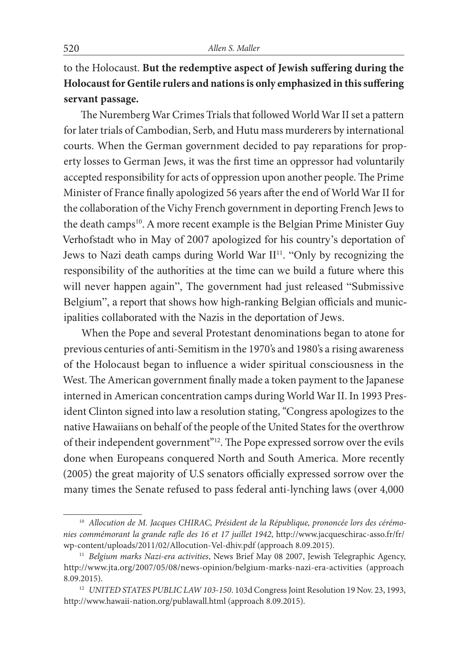to the Holocaust. But the redemptive aspect of Jewish suffering during the **Holocaust for Gentile rulers and nations is only emphasized in this suf ering servant passage.** 

The Nuremberg War Crimes Trials that followed World War II set a pattern for later trials of Cambodian, Serb, and Hutu mass murderers by international courts. When the German government decided to pay reparations for property losses to German Jews, it was the first time an oppressor had voluntarily accepted responsibility for acts of oppression upon another people. The Prime Minister of France finally apologized 56 years after the end of World War II for the collaboration of the Vichy French government in deporting French Jews to the death camps<sup>10</sup>. A more recent example is the Belgian Prime Minister Guy Verhofstadt who in May of 2007 apologized for his country's deportation of Jews to Nazi death camps during World War II11. "Only by recognizing the responsibility of the authorities at the time can we build a future where this will never happen again", The government had just released "Submissive Belgium", a report that shows how high-ranking Belgian officials and municipalities collaborated with the Nazis in the deportation of Jews.

 When the Pope and several Protestant denominations began to atone for previous centuries of anti-Semitism in the 1970's and 1980's a rising awareness of the Holocaust began to influence a wider spiritual consciousness in the West. The American government finally made a token payment to the Japanese interned in American concentration camps during World War II. In 1993 President Clinton signed into law a resolution stating, "Congress apologizes to the native Hawaiians on behalf of the people of the United States for the overthrow of their independent government"<sup>12</sup>. The Pope expressed sorrow over the evils done when Europeans conquered North and South America. More recently (2005) the great majority of U.S senators officially expressed sorrow over the many times the Senate refused to pass federal anti-lynching laws (over 4,000

<sup>&</sup>lt;sup>10</sup> Allocution de M. Jacques CHIRAC, Président de la République, prononcée lors des cérémonies commémorant la grande rafle des 16 et 17 juillet 1942, http://www.jacqueschirac-asso.fr/fr/ wp-content/uploads/2011/02/Allocution-Vel-dhiv.pdf (approach 8.09.2015).

<sup>11</sup> *Belgium marks Nazi-era activities*, News Brief May 08 2007, Jewish Telegraphic Agency, http://www.jta.org/2007/05/08/news-opinion/belgium-marks-nazi-era-activities (approach 8.09.2015).

<sup>&</sup>lt;sup>12</sup> *UNITED STATES PUBLIC LAW 103-150*. 103d Congress Joint Resolution 19 Nov. 23, 1993, http://www.hawaii-nation.org/publawall.html (approach 8.09.2015).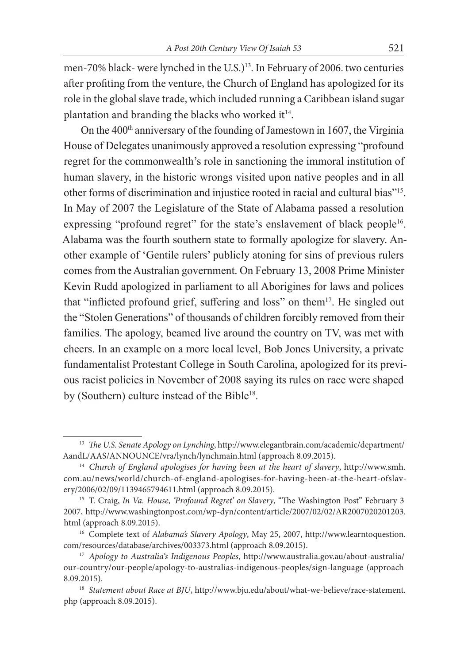men-70% black- were lynched in the U.S.)<sup>13</sup>. In February of 2006, two centuries after profiting from the venture, the Church of England has apologized for its role in the global slave trade, which included running a Caribbean island sugar plantation and branding the blacks who worked it<sup>14</sup>.

On the  $400<sup>th</sup>$  anniversary of the founding of Jamestown in 1607, the Virginia House of Delegates unanimously approved a resolution expressing "profound regret for the commonwealth's role in sanctioning the immoral institution of human slavery, in the historic wrongs visited upon native peoples and in all other forms of discrimination and injustice rooted in racial and cultural bias"15. In May of 2007 the Legislature of the State of Alabama passed a resolution expressing "profound regret" for the state's enslavement of black people<sup>16</sup>. Alabama was the fourth southern state to formally apologize for slavery. Another example of 'Gentile rulers' publicly atoning for sins of previous rulers comes from the Australian government. On February 13, 2008 Prime Minister Kevin Rudd apologized in parliament to all Aborigines for laws and polices that "inflicted profound grief, suffering and loss" on them<sup>17</sup>. He singled out the "Stolen Generations" of thousands of children forcibly removed from their families. The apology, beamed live around the country on TV, was met with cheers. In an example on a more local level, Bob Jones University, a private fundamentalist Protestant College in South Carolina, apologized for its previous racist policies in November of 2008 saying its rules on race were shaped by (Southern) culture instead of the Bible<sup>18</sup>.

<sup>&</sup>lt;sup>13</sup> The U.S. Senate Apology on Lynching, http://www.elegantbrain.com/academic/department/ AandL/AAS/ANNOUNCE/vra/lynch/lynchmain.html (approach 8.09.2015).

<sup>14</sup> *Church of England apologises for having been at the heart of slavery*, http://www.smh. com.au/news/world/church-of-england-apologises-for-having-been-at-the-heart-ofslavery/2006/02/09/1139465794611.html (approach 8.09.2015).

<sup>&</sup>lt;sup>15</sup> T. Craig, *In Va. House, 'Profound Regret' on Slavery*, "The Washington Post" February 3 2007, http://www.washingtonpost.com/wp-dyn/content/article/2007/02/02/AR2007020201203. html (approach 8.09.2015).

<sup>16</sup> Complete text of *Alabama's Slavery Apology*, May 25, 2007, http://www.learntoquestion. com/resources/database/archives/003373.html (approach 8.09.2015).

<sup>17</sup> *Apology to Australia's Indigenous Peoples*, http://www.australia.gov.au/about-australia/ our-country/our-people/apology-to-australias-indigenous-peoples/sign-language (approach 8.09.2015).

<sup>&</sup>lt;sup>18</sup> Statement about Race at BJU, http://www.bju.edu/about/what-we-believe/race-statement. php (approach 8.09.2015).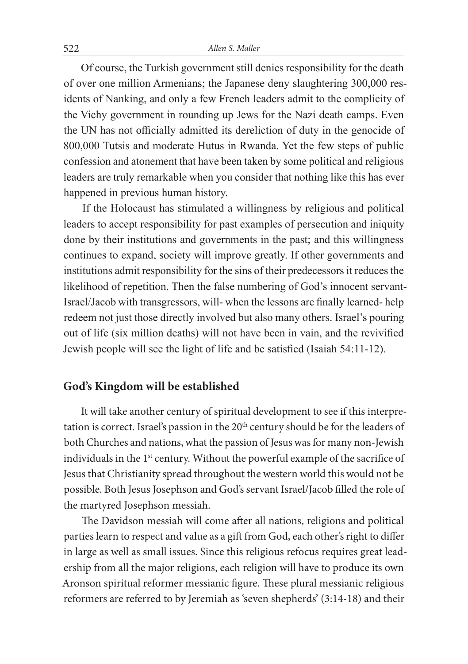Of course, the Turkish government still denies responsibility for the death of over one million Armenians; the Japanese deny slaughtering 300,000 residents of Nanking, and only a few French leaders admit to the complicity of the Vichy government in rounding up Jews for the Nazi death camps. Even the UN has not officially admitted its dereliction of duty in the genocide of 800,000 Tutsis and moderate Hutus in Rwanda. Yet the few steps of public confession and atonement that have been taken by some political and religious leaders are truly remarkable when you consider that nothing like this has ever happened in previous human history.

 If the Holocaust has stimulated a willingness by religious and political leaders to accept responsibility for past examples of persecution and iniquity done by their institutions and governments in the past; and this willingness continues to expand, society will improve greatly. If other governments and institutions admit responsibility for the sins of their predecessors it reduces the likelihood of repetition. Then the false numbering of God's innocent servant-Israel/Jacob with transgressors, will- when the lessons are finally learned- help redeem not just those directly involved but also many others. Israel's pouring out of life (six million deaths) will not have been in vain, and the revivified Jewish people will see the light of life and be satisfied (Isaiah 54:11-12).

### **God's Kingdom will be established**

 It will take another century of spiritual development to see if this interpretation is correct. Israel's passion in the 20<sup>th</sup> century should be for the leaders of both Churches and nations, what the passion of Jesus was for many non-Jewish individuals in the 1<sup>st</sup> century. Without the powerful example of the sacrifice of Jesus that Christianity spread throughout the western world this would not be possible. Both Jesus Josephson and God's servant Israel/Jacob filled the role of the martyred Josephson messiah.

The Davidson messiah will come after all nations, religions and political parties learn to respect and value as a gift from God, each other's right to differ in large as well as small issues. Since this religious refocus requires great leadership from all the major religions, each religion will have to produce its own Aronson spiritual reformer messianic figure. These plural messianic religious reformers are referred to by Jeremiah as 'seven shepherds' (3:14-18) and their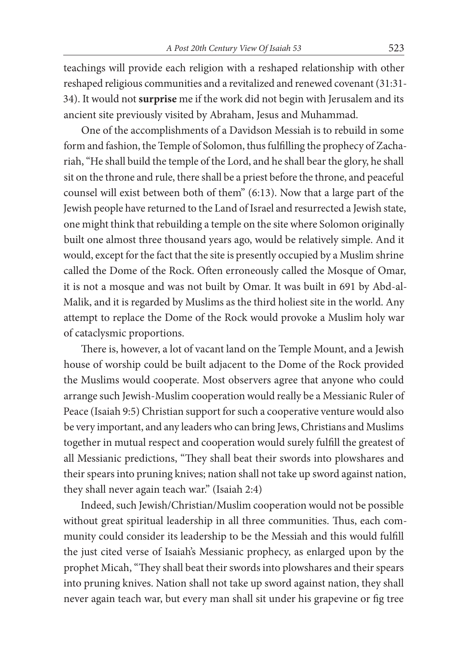teachings will provide each religion with a reshaped relationship with other reshaped religious communities and a revitalized and renewed covenant (31:31- 34). It would not **surprise** me if the work did not begin with Jerusalem and its ancient site previously visited by Abraham, Jesus and Muhammad.

 One of the accomplishments of a Davidson Messiah is to rebuild in some form and fashion, the Temple of Solomon, thus fulfilling the prophecy of Zachariah, "He shall build the temple of the Lord, and he shall bear the glory, he shall sit on the throne and rule, there shall be a priest before the throne, and peaceful counsel will exist between both of them" (6:13). Now that a large part of the Jewish people have returned to the Land of Israel and resurrected a Jewish state, one might think that rebuilding a temple on the site where Solomon originally built one almost three thousand years ago, would be relatively simple. And it would, except for the fact that the site is presently occupied by a Muslim shrine called the Dome of the Rock. Often erroneously called the Mosque of Omar, it is not a mosque and was not built by Omar. It was built in 691 by Abd-al-Malik, and it is regarded by Muslims as the third holiest site in the world. Any attempt to replace the Dome of the Rock would provoke a Muslim holy war of cataclysmic proportions.

There is, however, a lot of vacant land on the Temple Mount, and a Jewish house of worship could be built adjacent to the Dome of the Rock provided the Muslims would cooperate. Most observers agree that anyone who could arrange such Jewish-Muslim cooperation would really be a Messianic Ruler of Peace (Isaiah 9:5) Christian support for such a cooperative venture would also be very important, and any leaders who can bring Jews, Christians and Muslims together in mutual respect and cooperation would surely fulfill the greatest of all Messianic predictions, "They shall beat their swords into plowshares and their spears into pruning knives; nation shall not take up sword against nation, they shall never again teach war." (Isaiah 2:4)

 Indeed, such Jewish/Christian/Muslim cooperation would not be possible without great spiritual leadership in all three communities. Thus, each community could consider its leadership to be the Messiah and this would fulfill the just cited verse of Isaiah's Messianic prophecy, as enlarged upon by the prophet Micah, "They shall beat their swords into plowshares and their spears into pruning knives. Nation shall not take up sword against nation, they shall never again teach war, but every man shall sit under his grapevine or fig tree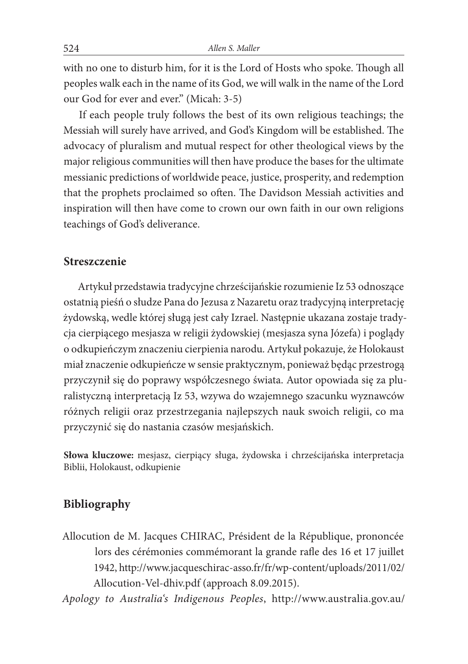with no one to disturb him, for it is the Lord of Hosts who spoke. Though all peoples walk each in the name of its God, we will walk in the name of the Lord our God for ever and ever." (Micah: 3-5)

If each people truly follows the best of its own religious teachings; the Messiah will surely have arrived, and God's Kingdom will be established. The advocacy of pluralism and mutual respect for other theological views by the major religious communities will then have produce the bases for the ultimate messianic predictions of worldwide peace, justice, prosperity, and redemption that the prophets proclaimed so often. The Davidson Messiah activities and inspiration will then have come to crown our own faith in our own religions teachings of God's deliverance.

#### **Streszczenie**

Artykuł przedstawia tradycyjne chrześcijańskie rozumienie Iz 53 odnoszące ostatnią pieśń o słudze Pana do Jezusa z Nazaretu oraz tradycyjną interpretację żydowską, wedle której sługą jest cały Izrael. Następnie ukazana zostaje tradycja cierpiącego mesjasza w religii żydowskiej (mesjasza syna Józefa) i poglądy o odkupieńczym znaczeniu cierpienia narodu. Artykuł pokazuje, że Holokaust miał znaczenie odkupieńcze w sensie praktycznym, ponieważ będąc przestrogą przyczynił się do poprawy współczesnego świata. Autor opowiada się za pluralistyczną interpretacją Iz 53, wzywa do wzajemnego szacunku wyznawców różnych religii oraz przestrzegania najlepszych nauk swoich religii, co ma przyczynić się do nastania czasów mesjańskich.

**Słowa kluczowe:** mesjasz, cierpiący sługa, żydowska i chrześcijańska interpretacja Biblii, Holokaust, odkupienie

# **Bibliography**

Allocution de M. Jacques CHIRAC, Président de la République, prononcée lors des cérémonies commémorant la grande rafle des 16 et 17 juillet 1942, http://www.jacqueschirac-asso.fr/fr/wp-content/uploads/2011/02/ Allocution-Vel-dhiv.pdf (approach 8.09.2015).

*Apology to Australia's Indigenous Peoples*, http://www.australia.gov.au/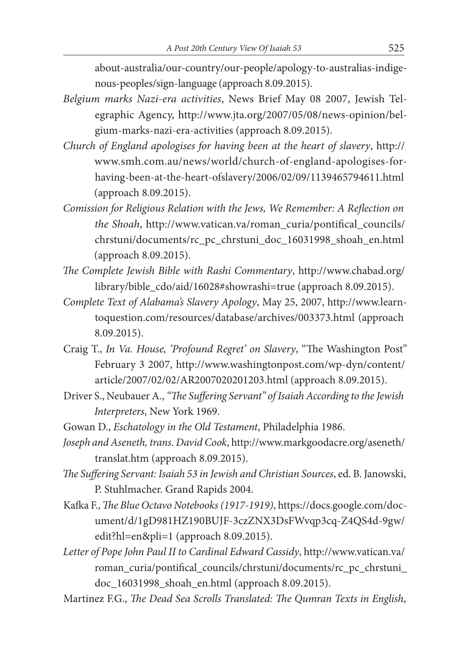about-australia/our-country/our-people/apology-to-australias-indigenous-peoples/sign-language (approach 8.09.2015).

- *Belgium marks Nazi-era activities*, News Brief May 08 2007, Jewish Telegraphic Agency, http://www.jta.org/2007/05/08/news-opinion/belgium-marks-nazi-era-activities (approach 8.09.2015).
- *Church of England apologises for having been at the heart of slavery*, http:// www.smh.com.au/news/world/church-of-england-apologises-forhaving-been-at-the-heart-ofslavery/2006/02/09/1139465794611.html (approach 8.09.2015).
- *Comission for Religious Relation with the Jews, We Remember: A Reflection on the Shoah*, http://www.vatican.va/roman\_curia/pontifical\_councils/ chrstuni/documents/rc\_pc\_chrstuni\_doc\_16031998\_shoah\_en.html (approach 8.09.2015).
- The Complete Jewish Bible with Rashi Commentary, http://www.chabad.org/ library/bible\_cdo/aid/16028#showrashi=true (approach 8.09.2015).
- *Complete Text of Alabama's Slavery Apology*, May 25, 2007, http://www.learntoquestion.com/resources/database/archives/003373.html (approach 8.09.2015).
- Craig T., *In Va. House, 'Profound Regret' on Slavery*, "The Washington Post" February 3 2007, http://www.washingtonpost.com/wp-dyn/content/ article/2007/02/02/AR2007020201203.html (approach 8.09.2015).
- Driver S., Neubauer A., "The Suffering Servant" of Isaiah According to the Jewish *Interpreters*, New York 1969.
- Gowan D., *Eschatology in the Old Testament*, Philadelphia 1986.
- *Joseph and Aseneth, trans. David Cook*, http://www.markgoodacre.org/aseneth/ translat.htm (approach 8.09.2015).
- The Suffering Servant: Isaiah 53 in Jewish and Christian Sources, ed. B. Janowski, P. Stuhlmacher. Grand Rapids 2004.
- Kafka F., The Blue Octavo Notebooks (1917-1919), https://docs.google.com/document/d/1gD981HZ190BUJF-3czZNX3DsFWvqp3cq-Z4QS4d-9gw/ edit?hl=en&pli=1 (approach 8.09.2015).
- *Letter of Pope John Paul II to Cardinal Edward Cassidy*, http://www.vatican.va/ roman\_curia/pontifical\_councils/chrstuni/documents/rc\_pc\_chrstuni\_ doc\_16031998\_shoah\_en.html (approach 8.09.2015).
- Martinez F.G., *The Dead Sea Scrolls Translated: The Qumran Texts in English*,